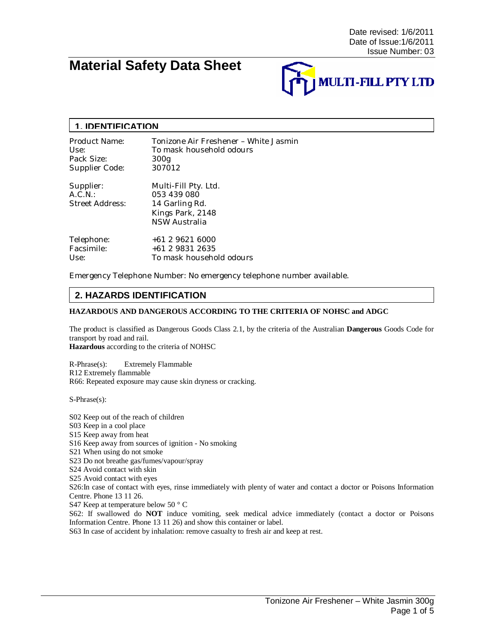# **Material Safety Data Sheet**



### **1. IDENTIFICATION**

| Product Name:                           | Tonizone Air Freshener - White Jasmin                                                      |
|-----------------------------------------|--------------------------------------------------------------------------------------------|
| Use:                                    | To mask household odours                                                                   |
| Pack Size:                              | 300g                                                                                       |
| Supplier Code:                          | 307012                                                                                     |
| Supplier:<br>A.C.N.:<br>Street Address: | Multi-Fill Pty. Ltd.<br>053 439 080<br>14 Garling Rd.<br>Kings Park, 2148<br>NSW Australia |
| Telephone:                              | +61 2 9621 6000                                                                            |
| Facsimile:                              | +61 2 9831 2635                                                                            |
| Use:                                    | To mask household odours                                                                   |

Emergency Telephone Number: No emergency telephone number available.

# **2. HAZARDS IDENTIFICATION**

#### **HAZARDOUS AND DANGEROUS ACCORDING TO THE CRITERIA OF NOHSC and ADGC**

The product is classified as Dangerous Goods Class 2.1, by the criteria of the Australian **Dangerous** Goods Code for transport by road and rail.

**Hazardous** according to the criteria of NOHSC

R-Phrase(s): Extremely Flammable R12 Extremely flammable R66: Repeated exposure may cause skin dryness or cracking.

S-Phrase(s):

S02 Keep out of the reach of children S03 Keep in a cool place S15 Keep away from heat S16 Keep away from sources of ignition - No smoking S21 When using do not smoke S23 Do not breathe gas/fumes/vapour/spray S24 Avoid contact with skin S25 Avoid contact with eyes S26:In case of contact with eyes, rinse immediately with plenty of water and contact a doctor or Poisons Information Centre. Phone 13 11 26. S47 Keep at temperature below 50 ° C S62: If swallowed do **NOT** induce vomiting, seek medical advice immediately (contact a doctor or Poisons Information Centre. Phone 13 11 26) and show this container or label. S63 In case of accident by inhalation: remove casualty to fresh air and keep at rest.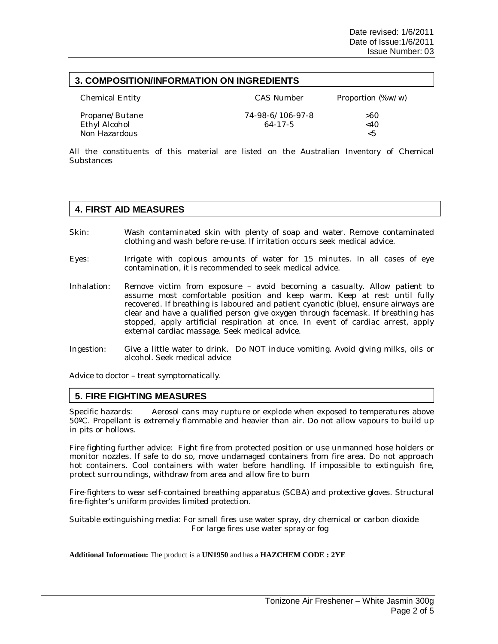## **3. COMPOSITION/INFORMATION ON INGREDIENTS**

| Chemical Entity                | <b>CAS Number</b> | Proportion (%w/w) |
|--------------------------------|-------------------|-------------------|
| Propane/Butane                 | 74-98-6/106-97-8  | >60               |
| Ethyl Alcohol<br>Non Hazardous | 64-17-5           | $<$ 40<br><5      |

All the constituents of this material are listed on the Australian Inventory of Chemical **Substances** 

## **4. FIRST AID MEASURES**

- Skin: Wash contaminated skin with plenty of soap and water. Remove contaminated clothing and wash before re-use. If irritation occurs seek medical advice.
- Eyes: Irrigate with copious amounts of water for 15 minutes. In all cases of eye contamination, it is recommended to seek medical advice.
- Inhalation: Remove victim from exposure avoid becoming a casualty. Allow patient to assume most comfortable position and keep warm. Keep at rest until fully recovered. If breathing is laboured and patient cyanotic (blue), ensure airways are clear and have a qualified person give oxygen through facemask. If breathing has stopped, apply artificial respiration at once. In event of cardiac arrest, apply external cardiac massage. Seek medical advice.
- Ingestion: Give a little water to drink. Do NOT induce vomiting. Avoid giving milks, oils or alcohol. Seek medical advice

Advice to doctor – treat symptomatically.

### **5. FIRE FIGHTING MEASURES**

Specific hazards: Aerosol cans may rupture or explode when exposed to temperatures above 50ºC. Propellant is extremely flammable and heavier than air. Do not allow vapours to build up in pits or hollows.

Fire fighting further advice: Fight fire from protected position or use unmanned hose holders or monitor nozzles. If safe to do so, move undamaged containers from fire area. Do not approach hot containers. Cool containers with water before handling. If impossible to extinguish fire, protect surroundings, withdraw from area and allow fire to burn

Fire-fighters to wear self-contained breathing apparatus (SCBA) and protective gloves. Structural fire-fighter's uniform provides limited protection.

Suitable extinguishing media: For small fires use water spray, dry chemical or carbon dioxide For large fires use water spray or fog

#### **Additional Information:** The product is a **UN1950** and has a **HAZCHEM CODE : 2YE**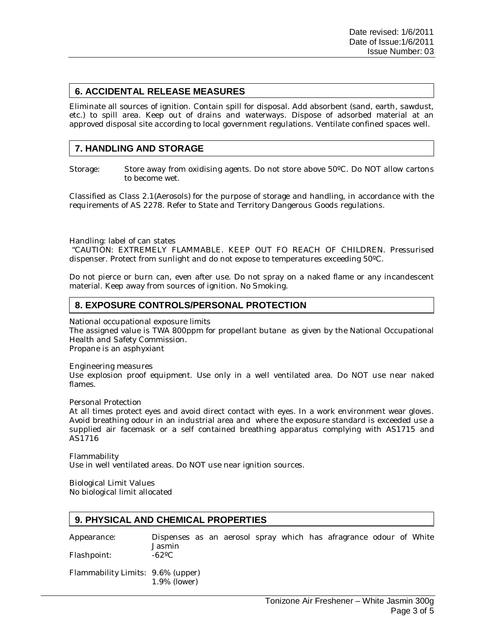# **6. ACCIDENTAL RELEASE MEASURES**

Eliminate all sources of ignition. Contain spill for disposal. Add absorbent (sand, earth, sawdust, etc.) to spill area. Keep out of drains and waterways. Dispose of adsorbed material at an approved disposal site according to local government regulations. Ventilate confined spaces well.

# **7. HANDLING AND STORAGE**

Storage: Store away from oxidising agents. Do not store above 50ºC. Do NOT allow cartons to become wet.

Classified as Class 2.1(Aerosols) for the purpose of storage and handling, in accordance with the requirements of AS 2278. Refer to State and Territory Dangerous Goods regulations.

Handling: label of can states

 "CAUTION: EXTREMELY FLAMMABLE. KEEP OUT FO REACH OF CHILDREN. Pressurised dispenser. Protect from sunlight and do not expose to temperatures exceeding 50ºC.

Do not pierce or burn can, even after use. Do not spray on a naked flame or any incandescent material. Keep away from sources of ignition. No Smoking.

## **8. EXPOSURE CONTROLS/PERSONAL PROTECTION**

National occupational exposure limits

The assigned value is TWA 800ppm for propellant butane as given by the National Occupational Health and Safety Commission. Propane is an asphyxiant

Engineering measures Use explosion proof equipment. Use only in a well ventilated area. Do NOT use near naked flames.

Personal Protection

At all times protect eyes and avoid direct contact with eyes. In a work environment wear gloves. Avoid breathing odour in an industrial area and where the exposure standard is exceeded use a supplied air facemask or a self contained breathing apparatus complying with AS1715 and AS1716

Flammability Use in well ventilated areas. Do NOT use near ignition sources.

Biological Limit Values No biological limit allocated

# **9. PHYSICAL AND CHEMICAL PROPERTIES**

Flashpoint:

Appearance: Dispenses as an aerosol spray which has afragrance odour of White Jasmin

Flammability Limits: 9.6% (upper) 1.9% (lower)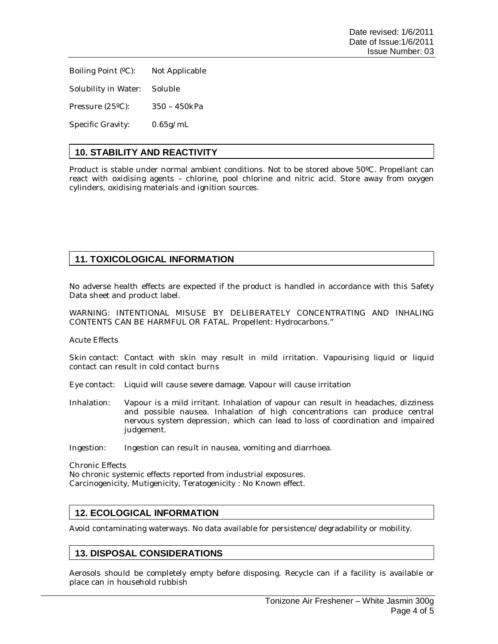Boiling Point (ºC): Not Applicable

Solubility in Water: Soluble

Pressure (25ºC): 350 – 450kPa

Specific Gravity: 0.65g/mL

# **10. STABILITY AND REACTIVITY**

Product is stable under normal ambient conditions. Not to be stored above 50ºC. Propellant can react with oxidising agents – chlorine, pool chlorine and nitric acid. Store away from oxygen cylinders, oxidising materials and ignition sources.

# **11. TOXICOLOGICAL INFORMATION**

No adverse health effects are expected if the product is handled in accordance with this Safety Data sheet and product label.

WARNING: INTENTIONAL MISUSE BY DELIBERATELY CONCENTRATING AND INHALING CONTENTS CAN BE HARMFUL OR FATAL. Propellent: Hydrocarbons."

Acute Effects

Skin contact: Contact with skin may result in mild irritation. Vapourising liquid or liquid contact can result in cold contact burns

Eye contact: Liquid will cause severe damage. Vapour will cause irritation

Inhalation: Vapour is a mild irritant. Inhalation of vapour can result in headaches, dizziness and possible nausea. Inhalation of high concentrations can produce central nervous system depression, which can lead to loss of coordination and impaired judgement.

Ingestion: Ingestion can result in nausea, vomiting and diarrhoea.

Chronic Effects

No chronic systemic effects reported from industrial exposures. Carcinogenicity, Mutigenicity, Teratogenicity : No Known effect.

## **12. ECOLOGICAL INFORMATION**

Avoid contaminating waterways. No data available for persistence/degradability or mobility.

## **13. DISPOSAL CONSIDERATIONS**

Aerosols should be completely empty before disposing. Recycle can if a facility is available or place can in household rubbish